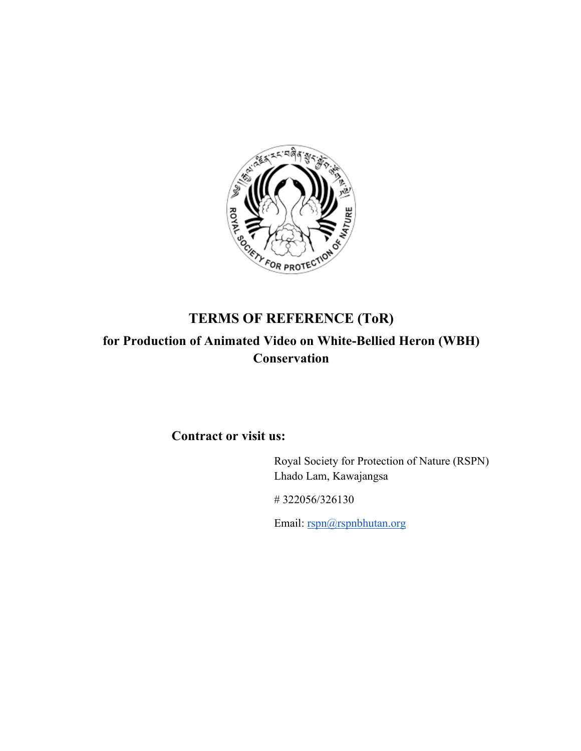

# **TERMS OF REFERENCE (ToR) for Production of Animated Video on White-Bellied Heron (WBH) Conservation**

# **Contract or visit us:**

Royal Society for Protection of Nature (RSPN) Lhado Lam, Kawajangsa

# 322056/326130

Email: rspn@rspnbhutan.org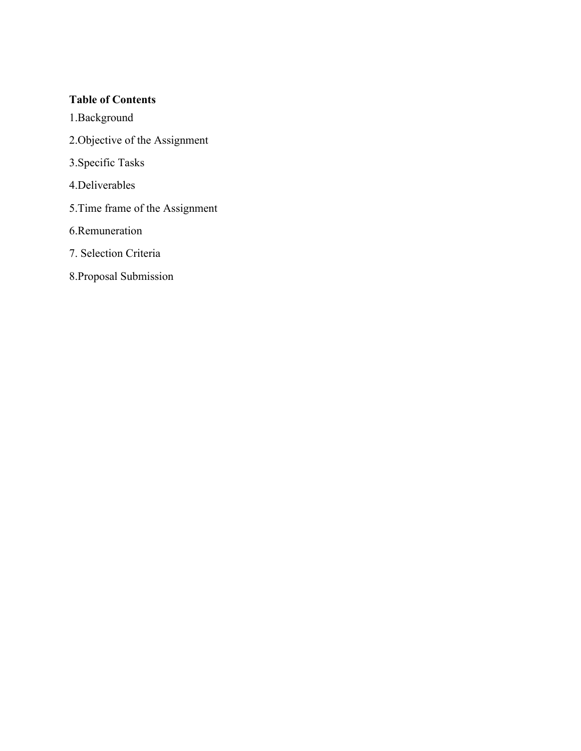### **Table of Contents**

- 1.Background
- 2.Objective of the Assignment
- 3.Specific Tasks
- 4.Deliverables
- 5.Time frame of the Assignment
- 6.Remuneration
- 7. Selection Criteria
- 8.Proposal Submission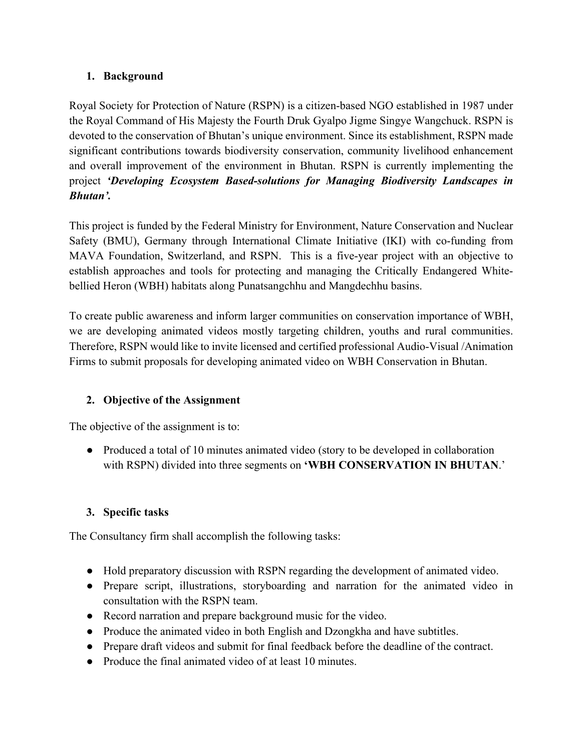# **1. Background**

Royal Society for Protection of Nature (RSPN) is a citizen-based NGO established in 1987 under the Royal Command of His Majesty the Fourth Druk Gyalpo Jigme Singye Wangchuck. RSPN is devoted to the conservation of Bhutan's unique environment. Since its establishment, RSPN made significant contributions towards biodiversity conservation, community livelihood enhancement and overall improvement of the environment in Bhutan. RSPN is currently implementing the project *'Developing Ecosystem Based-solutions for Managing Biodiversity Landscapes in Bhutan'.*

This project is funded by the Federal Ministry for Environment, Nature Conservation and Nuclear Safety (BMU), Germany through International Climate Initiative (IKI) with co-funding from MAVA Foundation, Switzerland, and RSPN. This is a five-year project with an objective to establish approaches and tools for protecting and managing the Critically Endangered Whitebellied Heron (WBH) habitats along Punatsangchhu and Mangdechhu basins.

To create public awareness and inform larger communities on conservation importance of WBH, we are developing animated videos mostly targeting children, youths and rural communities. Therefore, RSPN would like to invite licensed and certified professional Audio-Visual /Animation Firms to submit proposals for developing animated video on WBH Conservation in Bhutan.

# **2. Objective of the Assignment**

The objective of the assignment is to:

• Produced a total of 10 minutes animated video (story to be developed in collaboration with RSPN) divided into three segments on **'WBH CONSERVATION IN BHUTAN**.'

# **3. Specific tasks**

The Consultancy firm shall accomplish the following tasks:

- Hold preparatory discussion with RSPN regarding the development of animated video.
- Prepare script, illustrations, storyboarding and narration for the animated video in consultation with the RSPN team.
- Record narration and prepare background music for the video.
- Produce the animated video in both English and Dzongkha and have subtitles.
- Prepare draft videos and submit for final feedback before the deadline of the contract.
- Produce the final animated video of at least 10 minutes.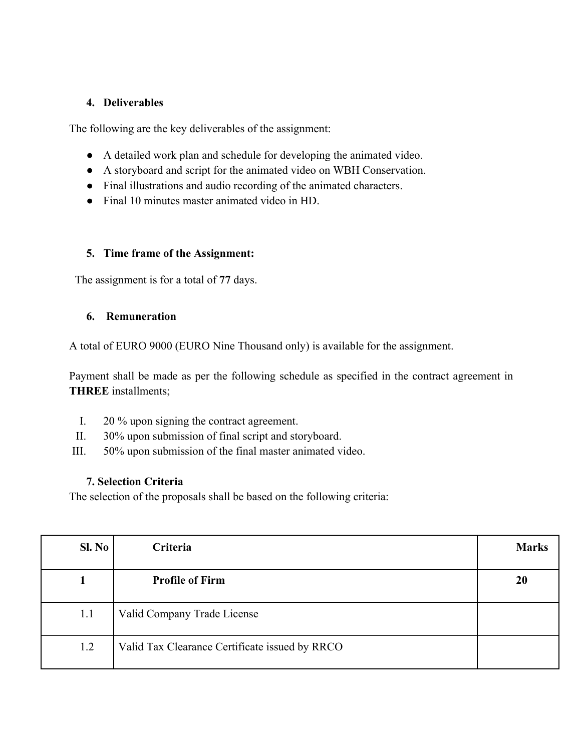#### **4. Deliverables**

The following are the key deliverables of the assignment:

- A detailed work plan and schedule for developing the animated video.
- A storyboard and script for the animated video on WBH Conservation.
- Final illustrations and audio recording of the animated characters.
- Final 10 minutes master animated video in HD.

#### **5. Time frame of the Assignment:**

The assignment is for a total of **77** days.

#### **6. Remuneration**

A total of EURO 9000 (EURO Nine Thousand only) is available for the assignment.

Payment shall be made as per the following schedule as specified in the contract agreement in **THREE** installments;

- I. 20 % upon signing the contract agreement.
- II. 30% upon submission of final script and storyboard.
- III. 50% upon submission of the final master animated video.

#### **7. Selection Criteria**

The selection of the proposals shall be based on the following criteria:

| Sl. No | Criteria                                       | <b>Marks</b> |
|--------|------------------------------------------------|--------------|
|        | <b>Profile of Firm</b>                         | 20           |
| 1.1    | Valid Company Trade License                    |              |
| 1.2    | Valid Tax Clearance Certificate issued by RRCO |              |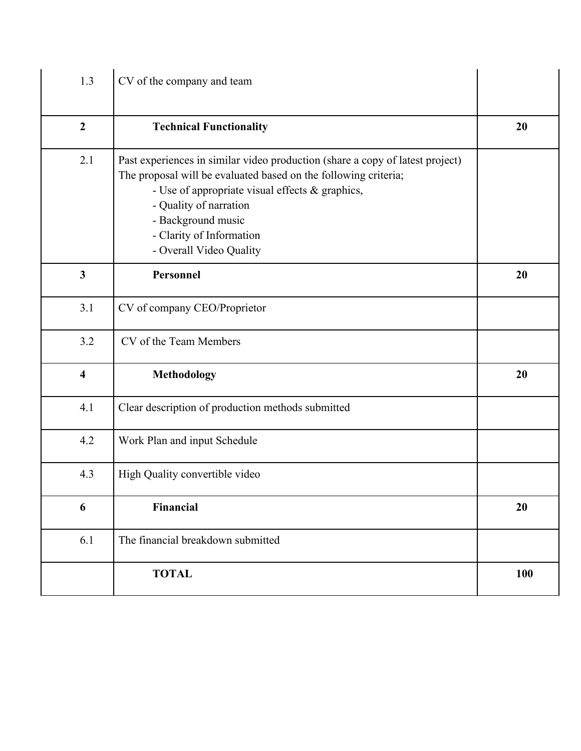| 1.3                     | CV of the company and team                                                                                                                                                                                                                                                                                 |     |
|-------------------------|------------------------------------------------------------------------------------------------------------------------------------------------------------------------------------------------------------------------------------------------------------------------------------------------------------|-----|
| $\overline{2}$          | <b>Technical Functionality</b>                                                                                                                                                                                                                                                                             | 20  |
| 2.1                     | Past experiences in similar video production (share a copy of latest project)<br>The proposal will be evaluated based on the following criteria;<br>- Use of appropriate visual effects & graphics,<br>- Quality of narration<br>- Background music<br>- Clarity of Information<br>- Overall Video Quality |     |
| $\mathbf{3}$            | Personnel                                                                                                                                                                                                                                                                                                  | 20  |
| 3.1                     | CV of company CEO/Proprietor                                                                                                                                                                                                                                                                               |     |
| 3.2                     | CV of the Team Members                                                                                                                                                                                                                                                                                     |     |
| $\overline{\mathbf{4}}$ | Methodology                                                                                                                                                                                                                                                                                                | 20  |
| 4.1                     | Clear description of production methods submitted                                                                                                                                                                                                                                                          |     |
| 4.2                     | Work Plan and input Schedule                                                                                                                                                                                                                                                                               |     |
| 4.3                     | High Quality convertible video                                                                                                                                                                                                                                                                             |     |
| 6                       | Financial                                                                                                                                                                                                                                                                                                  | 20  |
| 6.1                     | The financial breakdown submitted                                                                                                                                                                                                                                                                          |     |
|                         | <b>TOTAL</b>                                                                                                                                                                                                                                                                                               | 100 |